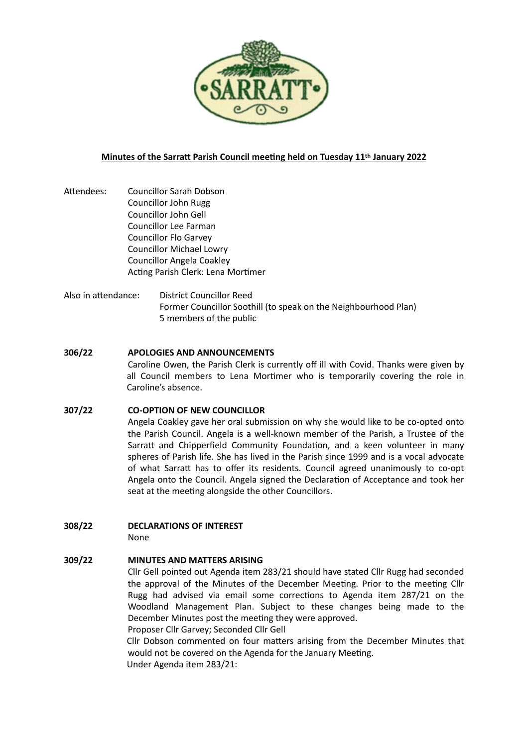

# **Minutes of the Sarratt Parish Council meeting held on Tuesday 11th January 2022**

- Attendees: Councillor Sarah Dobson Councillor John Rugg Councillor John Gell Councillor Lee Farman Councillor Flo Garvey Councillor Michael Lowry Councillor Angela Coakley Acting Parish Clerk: Lena Mortimer
- Also in attendance: District Councillor Reed Former Councillor Soothill (to speak on the Neighbourhood Plan) 5 members of the public

## **306/22 APOLOGIES AND ANNOUNCEMENTS**

Caroline Owen, the Parish Clerk is currently off ill with Covid. Thanks were given by all Council members to Lena Mortimer who is temporarily covering the role in Caroline's absence.

## **307/22 CO-OPTION OF NEW COUNCILLOR**

Angela Coakley gave her oral submission on why she would like to be co-opted onto the Parish Council. Angela is a well-known member of the Parish, a Trustee of the Sarratt and Chipperfield Community Foundation, and a keen volunteer in many spheres of Parish life. She has lived in the Parish since 1999 and is a vocal advocate of what Sarratt has to offer its residents. Council agreed unanimously to co-opt Angela onto the Council. Angela signed the Declaration of Acceptance and took her seat at the meeting alongside the other Councillors.

# **308/22 DECLARATIONS OF INTEREST**

None

# **309/22 MINUTES AND MATTERS ARISING**

Cllr Gell pointed out Agenda item 283/21 should have stated Cllr Rugg had seconded the approval of the Minutes of the December Meeting. Prior to the meeting Cllr Rugg had advised via email some corrections to Agenda item 287/21 on the Woodland Management Plan. Subject to these changes being made to the December Minutes post the meeting they were approved. Proposer Cllr Garvey; Seconded Cllr Gell

Cllr Dobson commented on four matters arising from the December Minutes that would not be covered on the Agenda for the January Meeting.

Under Agenda item 283/21: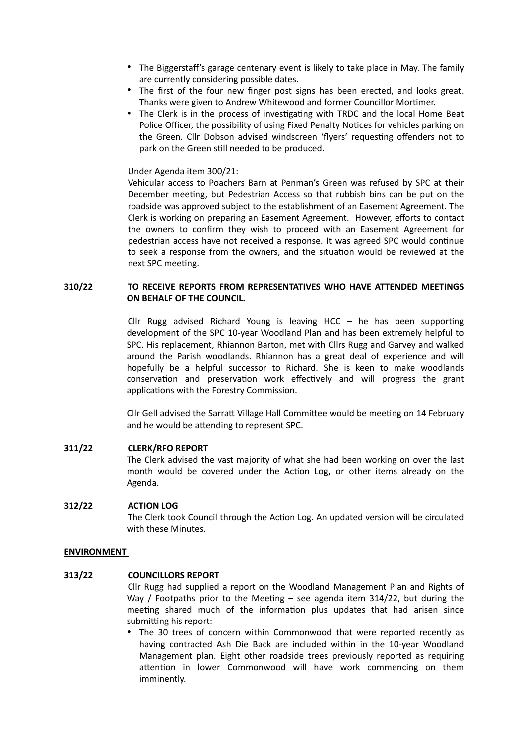- The Biggerstaff's garage centenary event is likely to take place in May. The family are currently considering possible dates.
- The first of the four new finger post signs has been erected, and looks great. Thanks were given to Andrew Whitewood and former Councillor Mortimer.
- The Clerk is in the process of investigating with TRDC and the local Home Beat Police Officer, the possibility of using Fixed Penalty Notices for vehicles parking on the Green. Cllr Dobson advised windscreen 'flyers' requesting offenders not to park on the Green still needed to be produced.

### Under Agenda item 300/21:

Vehicular access to Poachers Barn at Penman's Green was refused by SPC at their December meeting, but Pedestrian Access so that rubbish bins can be put on the roadside was approved subject to the establishment of an Easement Agreement. The Clerk is working on preparing an Easement Agreement. However, efforts to contact the owners to confirm they wish to proceed with an Easement Agreement for pedestrian access have not received a response. It was agreed SPC would continue to seek a response from the owners, and the situation would be reviewed at the next SPC meeting.

# **310/22 TO RECEIVE REPORTS FROM REPRESENTATIVES WHO HAVE ATTENDED MEETINGS ON BEHALF OF THE COUNCIL.**

Cllr Rugg advised Richard Young is leaving HCC – he has been supporting development of the SPC 10-year Woodland Plan and has been extremely helpful to SPC. His replacement, Rhiannon Barton, met with Cllrs Rugg and Garvey and walked around the Parish woodlands. Rhiannon has a great deal of experience and will hopefully be a helpful successor to Richard. She is keen to make woodlands conservation and preservation work effectively and will progress the grant applications with the Forestry Commission.

Cllr Gell advised the Sarratt Village Hall Committee would be meeting on 14 February and he would be attending to represent SPC.

## **311/22 CLERK/RFO REPORT**

The Clerk advised the vast majority of what she had been working on over the last month would be covered under the Action Log, or other items already on the Agenda.

#### **312/22 ACTION LOG**

The Clerk took Council through the Action Log. An updated version will be circulated with these Minutes.

#### **ENVIRONMENT**

## **313/22 COUNCILLORS REPORT**

Cllr Rugg had supplied a report on the Woodland Management Plan and Rights of Way / Footpaths prior to the Meeting – see agenda item  $314/22$ , but during the meeting shared much of the information plus updates that had arisen since submitting his report:

• The 30 trees of concern within Commonwood that were reported recently as having contracted Ash Die Back are included within in the 10-year Woodland Management plan. Eight other roadside trees previously reported as requiring attention in lower Commonwood will have work commencing on them imminently.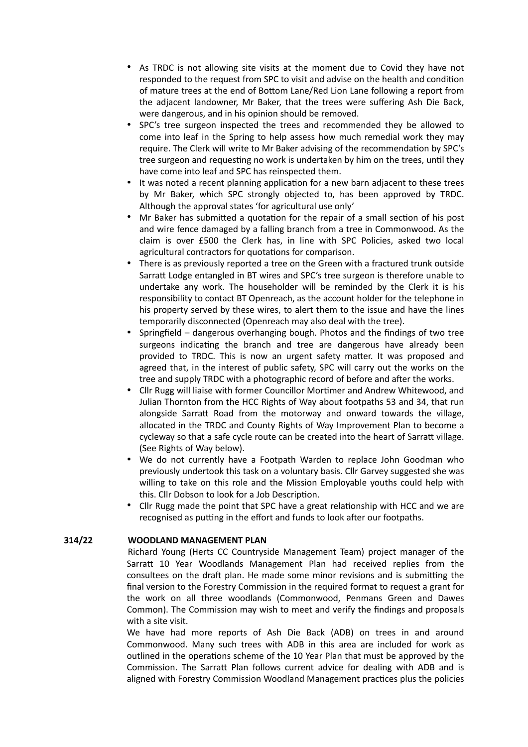- As TRDC is not allowing site visits at the moment due to Covid they have not responded to the request from SPC to visit and advise on the health and condition of mature trees at the end of Bottom Lane/Red Lion Lane following a report from the adjacent landowner, Mr Baker, that the trees were suffering Ash Die Back, were dangerous, and in his opinion should be removed.
- SPC's tree surgeon inspected the trees and recommended they be allowed to come into leaf in the Spring to help assess how much remedial work they may require. The Clerk will write to Mr Baker advising of the recommendation by SPC's tree surgeon and requesting no work is undertaken by him on the trees, until they have come into leaf and SPC has reinspected them.
- It was noted a recent planning application for a new barn adjacent to these trees by Mr Baker, which SPC strongly objected to, has been approved by TRDC. Although the approval states 'for agricultural use only'
- Mr Baker has submitted a quotation for the repair of a small section of his post and wire fence damaged by a falling branch from a tree in Commonwood. As the claim is over £500 the Clerk has, in line with SPC Policies, asked two local agricultural contractors for quotations for comparison.
- There is as previously reported a tree on the Green with a fractured trunk outside Sarratt Lodge entangled in BT wires and SPC's tree surgeon is therefore unable to undertake any work. The householder will be reminded by the Clerk it is his responsibility to contact BT Openreach, as the account holder for the telephone in his property served by these wires, to alert them to the issue and have the lines temporarily disconnected (Openreach may also deal with the tree).
- Springfield dangerous overhanging bough. Photos and the findings of two tree surgeons indicating the branch and tree are dangerous have already been provided to TRDC. This is now an urgent safety matter. It was proposed and agreed that, in the interest of public safety, SPC will carry out the works on the tree and supply TRDC with a photographic record of before and after the works.
- Cllr Rugg will liaise with former Councillor Mortimer and Andrew Whitewood, and Julian Thornton from the HCC Rights of Way about footpaths 53 and 34, that run alongside Sarratt Road from the motorway and onward towards the village, allocated in the TRDC and County Rights of Way Improvement Plan to become a cycleway so that a safe cycle route can be created into the heart of Sarratt village. (See Rights of Way below).
- We do not currently have a Footpath Warden to replace John Goodman who previously undertook this task on a voluntary basis. Cllr Garvey suggested she was willing to take on this role and the Mission Employable youths could help with this. Cllr Dobson to look for a Job Description.
- Cllr Rugg made the point that SPC have a great relationship with HCC and we are recognised as putting in the effort and funds to look after our footpaths.

## **314/22 WOODLAND MANAGEMENT PLAN**

Richard Young (Herts CC Countryside Management Team) project manager of the Sarratt 10 Year Woodlands Management Plan had received replies from the consultees on the draft plan. He made some minor revisions and is submitting the final version to the Forestry Commission in the required format to request a grant for the work on all three woodlands (Commonwood, Penmans Green and Dawes Common). The Commission may wish to meet and verify the findings and proposals with a site visit.

We have had more reports of Ash Die Back (ADB) on trees in and around Commonwood. Many such trees with ADB in this area are included for work as outlined in the operations scheme of the 10 Year Plan that must be approved by the Commission. The Sarratt Plan follows current advice for dealing with ADB and is aligned with Forestry Commission Woodland Management practices plus the policies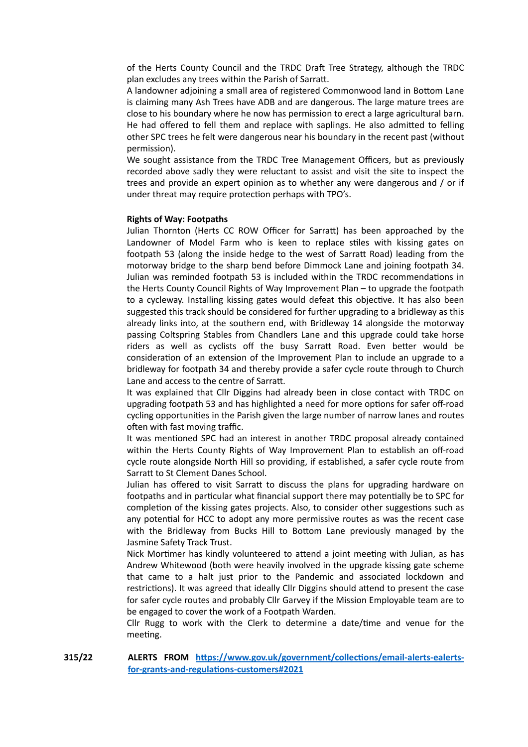of the Herts County Council and the TRDC Draft Tree Strategy, although the TRDC plan excludes any trees within the Parish of Sarratt.

A landowner adjoining a small area of registered Commonwood land in Bottom Lane is claiming many Ash Trees have ADB and are dangerous. The large mature trees are close to his boundary where he now has permission to erect a large agricultural barn. He had offered to fell them and replace with saplings. He also admitted to felling other SPC trees he felt were dangerous near his boundary in the recent past (without permission).

We sought assistance from the TRDC Tree Management Officers, but as previously recorded above sadly they were reluctant to assist and visit the site to inspect the trees and provide an expert opinion as to whether any were dangerous and / or if under threat may require protection perhaps with TPO's.

#### **Rights of Way: Footpaths**

Julian Thornton (Herts CC ROW Officer for Sarratt) has been approached by the Landowner of Model Farm who is keen to replace stiles with kissing gates on footpath 53 (along the inside hedge to the west of Sarratt Road) leading from the motorway bridge to the sharp bend before Dimmock Lane and joining footpath 34. Julian was reminded footpath 53 is included within the TRDC recommendations in the Herts County Council Rights of Way Improvement Plan – to upgrade the footpath to a cycleway. Installing kissing gates would defeat this objective. It has also been suggested this track should be considered for further upgrading to a bridleway as this already links into, at the southern end, with Bridleway 14 alongside the motorway passing Coltspring Stables from Chandlers Lane and this upgrade could take horse riders as well as cyclists off the busy Sarratt Road. Even better would be consideration of an extension of the Improvement Plan to include an upgrade to a bridleway for footpath 34 and thereby provide a safer cycle route through to Church Lane and access to the centre of Sarratt.

It was explained that Cllr Diggins had already been in close contact with TRDC on upgrading footpath 53 and has highlighted a need for more options for safer off-road cycling opportunities in the Parish given the large number of narrow lanes and routes often with fast moving traffic.

It was mentioned SPC had an interest in another TRDC proposal already contained within the Herts County Rights of Way Improvement Plan to establish an off-road cycle route alongside North Hill so providing, if established, a safer cycle route from Sarratt to St Clement Danes School.

Julian has offered to visit Sarratt to discuss the plans for upgrading hardware on footpaths and in particular what financial support there may potentially be to SPC for completion of the kissing gates projects. Also, to consider other suggestions such as any potential for HCC to adopt any more permissive routes as was the recent case with the Bridleway from Bucks Hill to Bottom Lane previously managed by the Jasmine Safety Track Trust.

Nick Mortimer has kindly volunteered to attend a joint meeting with Julian, as has Andrew Whitewood (both were heavily involved in the upgrade kissing gate scheme that came to a halt just prior to the Pandemic and associated lockdown and restrictions). It was agreed that ideally Cllr Diggins should attend to present the case for safer cycle routes and probably Cllr Garvey if the Mission Employable team are to be engaged to cover the work of a Footpath Warden.

Cllr Rugg to work with the Clerk to determine a date/time and venue for the meeting.

**315/22 ALERTS FROM [https://www.gov.uk/government/collections/email-alerts-ealerts](https://www.gov.uk/government/collections/email-alerts-ealerts-for-grants-and-regulations-customers#2021)[for-grants-and-regulations-customers#2021](https://www.gov.uk/government/collections/email-alerts-ealerts-for-grants-and-regulations-customers#2021)**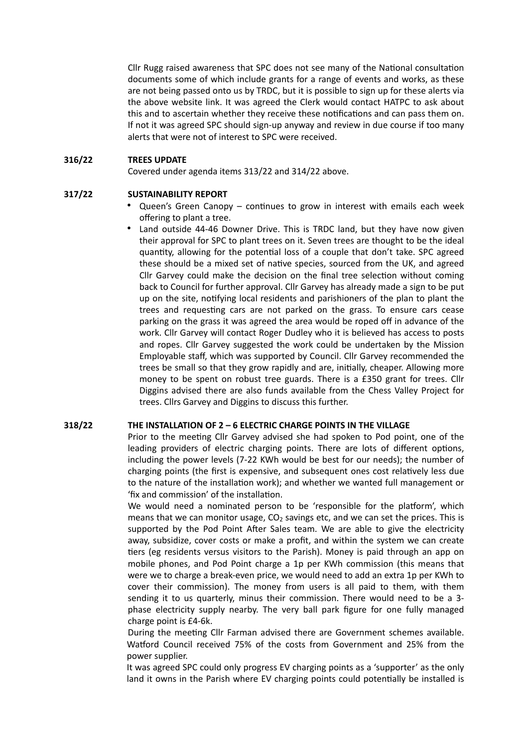Cllr Rugg raised awareness that SPC does not see many of the National consultation documents some of which include grants for a range of events and works, as these are not being passed onto us by TRDC, but it is possible to sign up for these alerts via the above website link. It was agreed the Clerk would contact HATPC to ask about this and to ascertain whether they receive these notifications and can pass them on. If not it was agreed SPC should sign-up anyway and review in due course if too many alerts that were not of interest to SPC were received.

### **316/22 TREES UPDATE**

Covered under agenda items 313/22 and 314/22 above.

### **317/22 SUSTAINABILITY REPORT**

- Queen's Green Canopy continues to grow in interest with emails each week offering to plant a tree.
- Land outside 44-46 Downer Drive. This is TRDC land, but they have now given their approval for SPC to plant trees on it. Seven trees are thought to be the ideal quantity, allowing for the potential loss of a couple that don't take. SPC agreed these should be a mixed set of native species, sourced from the UK, and agreed Cllr Garvey could make the decision on the final tree selection without coming back to Council for further approval. Cllr Garvey has already made a sign to be put up on the site, notifying local residents and parishioners of the plan to plant the trees and requesting cars are not parked on the grass. To ensure cars cease parking on the grass it was agreed the area would be roped off in advance of the work. Cllr Garvey will contact Roger Dudley who it is believed has access to posts and ropes. Cllr Garvey suggested the work could be undertaken by the Mission Employable staff, which was supported by Council. Cllr Garvey recommended the trees be small so that they grow rapidly and are, initially, cheaper. Allowing more money to be spent on robust tree guards. There is a £350 grant for trees. Cllr Diggins advised there are also funds available from the Chess Valley Project for trees. Cllrs Garvey and Diggins to discuss this further.

#### **318/22 THE INSTALLATION OF 2 – 6 ELECTRIC CHARGE POINTS IN THE VILLAGE**

Prior to the meeting Cllr Garvey advised she had spoken to Pod point, one of the leading providers of electric charging points. There are lots of different options, including the power levels (7-22 KWh would be best for our needs); the number of charging points (the first is expensive, and subsequent ones cost relatively less due to the nature of the installation work); and whether we wanted full management or 'fix and commission' of the installation.

We would need a nominated person to be 'responsible for the platform', which means that we can monitor usage,  $CO<sub>2</sub>$  savings etc, and we can set the prices. This is supported by the Pod Point After Sales team. We are able to give the electricity away, subsidize, cover costs or make a profit, and within the system we can create tiers (eg residents versus visitors to the Parish). Money is paid through an app on mobile phones, and Pod Point charge a 1p per KWh commission (this means that were we to charge a break-even price, we would need to add an extra 1p per KWh to cover their commission). The money from users is all paid to them, with them sending it to us quarterly, minus their commission. There would need to be a 3 phase electricity supply nearby. The very ball park figure for one fully managed charge point is £4-6k.

During the meeting Cllr Farman advised there are Government schemes available. Watford Council received 75% of the costs from Government and 25% from the power supplier.

It was agreed SPC could only progress EV charging points as a 'supporter' as the only land it owns in the Parish where EV charging points could potentially be installed is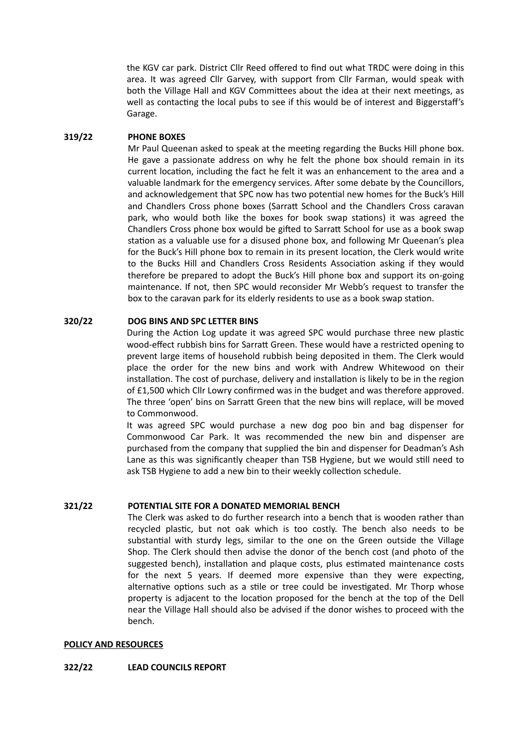the KGV car park. District Cllr Reed offered to find out what TRDC were doing in this area. It was agreed Cllr Garvey, with support from Cllr Farman, would speak with both the Village Hall and KGV Committees about the idea at their next meetings, as well as contacting the local pubs to see if this would be of interest and Biggerstaff's Garage.

## **319/22 PHONE BOXES**

Mr Paul Queenan asked to speak at the meeting regarding the Bucks Hill phone box. He gave a passionate address on why he felt the phone box should remain in its current location, including the fact he felt it was an enhancement to the area and a valuable landmark for the emergency services. After some debate by the Councillors, and acknowledgement that SPC now has two potential new homes for the Buck's Hill and Chandlers Cross phone boxes (Sarratt School and the Chandlers Cross caravan park, who would both like the boxes for book swap stations) it was agreed the Chandlers Cross phone box would be gifted to Sarratt School for use as a book swap station as a valuable use for a disused phone box, and following Mr Queenan's plea for the Buck's Hill phone box to remain in its present location, the Clerk would write to the Bucks Hill and Chandlers Cross Residents Association asking if they would therefore be prepared to adopt the Buck's Hill phone box and support its on-going maintenance. If not, then SPC would reconsider Mr Webb's request to transfer the box to the caravan park for its elderly residents to use as a book swap station.

# **320/22 DOG BINS AND SPC LETTER BINS**

During the Action Log update it was agreed SPC would purchase three new plastic wood-effect rubbish bins for Sarratt Green. These would have a restricted opening to prevent large items of household rubbish being deposited in them. The Clerk would place the order for the new bins and work with Andrew Whitewood on their installation. The cost of purchase, delivery and installation is likely to be in the region of £1,500 which Cllr Lowry confirmed was in the budget and was therefore approved. The three 'open' bins on Sarratt Green that the new bins will replace, will be moved to Commonwood.

It was agreed SPC would purchase a new dog poo bin and bag dispenser for Commonwood Car Park. It was recommended the new bin and dispenser are purchased from the company that supplied the bin and dispenser for Deadman's Ash Lane as this was significantly cheaper than TSB Hygiene, but we would still need to ask TSB Hygiene to add a new bin to their weekly collection schedule.

## **321/22 POTENTIAL SITE FOR A DONATED MEMORIAL BENCH**

The Clerk was asked to do further research into a bench that is wooden rather than recycled plastic, but not oak which is too costly. The bench also needs to be substantial with sturdy legs, similar to the one on the Green outside the Village Shop. The Clerk should then advise the donor of the bench cost (and photo of the suggested bench), installation and plaque costs, plus estimated maintenance costs for the next 5 years. If deemed more expensive than they were expecting, alternative options such as a stile or tree could be investigated. Mr Thorp whose property is adjacent to the location proposed for the bench at the top of the Dell near the Village Hall should also be advised if the donor wishes to proceed with the bench.

#### **POLICY AND RESOURCES**

## **322/22 LEAD COUNCILS REPORT**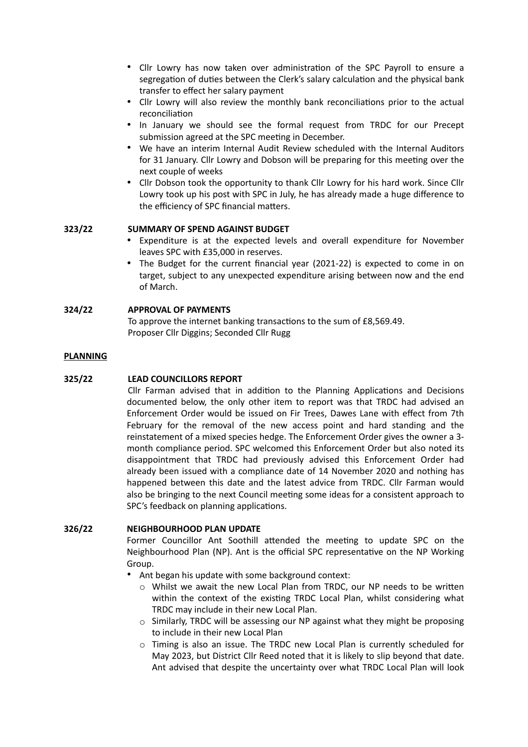- Cllr Lowry has now taken over administration of the SPC Payroll to ensure a segregation of duties between the Clerk's salary calculation and the physical bank transfer to effect her salary payment
- Cllr Lowry will also review the monthly bank reconciliations prior to the actual reconciliation
- In January we should see the formal request from TRDC for our Precept submission agreed at the SPC meeting in December.
- We have an interim Internal Audit Review scheduled with the Internal Auditors for 31 January. Cllr Lowry and Dobson will be preparing for this meeting over the next couple of weeks
- Cllr Dobson took the opportunity to thank Cllr Lowry for his hard work. Since Cllr Lowry took up his post with SPC in July, he has already made a huge difference to the efficiency of SPC financial matters.

## **323/22 SUMMARY OF SPEND AGAINST BUDGET**

- Expenditure is at the expected levels and overall expenditure for November leaves SPC with £35,000 in reserves.
- The Budget for the current financial year (2021-22) is expected to come in on target, subject to any unexpected expenditure arising between now and the end of March.

# **324/22 APPROVAL OF PAYMENTS**

To approve the internet banking transactions to the sum of £8,569.49. Proposer Cllr Diggins; Seconded Cllr Rugg

### **PLANNING**

## **325/22 LEAD COUNCILLORS REPORT**

Cllr Farman advised that in addition to the Planning Applications and Decisions documented below, the only other item to report was that TRDC had advised an Enforcement Order would be issued on Fir Trees, Dawes Lane with effect from 7th February for the removal of the new access point and hard standing and the reinstatement of a mixed species hedge. The Enforcement Order gives the owner a 3 month compliance period. SPC welcomed this Enforcement Order but also noted its disappointment that TRDC had previously advised this Enforcement Order had already been issued with a compliance date of 14 November 2020 and nothing has happened between this date and the latest advice from TRDC. Cllr Farman would also be bringing to the next Council meeting some ideas for a consistent approach to SPC's feedback on planning applications.

## **326/22 NEIGHBOURHOOD PLAN UPDATE**

Former Councillor Ant Soothill attended the meeting to update SPC on the Neighbourhood Plan (NP). Ant is the official SPC representative on the NP Working Group.

• Ant began his update with some background context:

- o Whilst we await the new Local Plan from TRDC, our NP needs to be written within the context of the existing TRDC Local Plan, whilst considering what TRDC may include in their new Local Plan.
- o Similarly, TRDC will be assessing our NP against what they might be proposing to include in their new Local Plan
- o Timing is also an issue. The TRDC new Local Plan is currently scheduled for May 2023, but District Cllr Reed noted that it is likely to slip beyond that date. Ant advised that despite the uncertainty over what TRDC Local Plan will look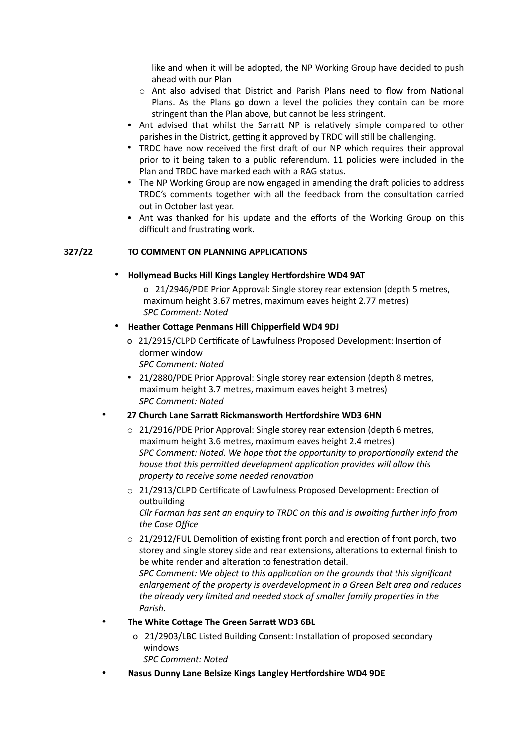like and when it will be adopted, the NP Working Group have decided to push ahead with our Plan

- $\circ$  Ant also advised that District and Parish Plans need to flow from National Plans. As the Plans go down a level the policies they contain can be more stringent than the Plan above, but cannot be less stringent.
- Ant advised that whilst the Sarratt NP is relatively simple compared to other parishes in the District, getting it approved by TRDC will still be challenging.
- TRDC have now received the first draft of our NP which requires their approval prior to it being taken to a public referendum. 11 policies were included in the Plan and TRDC have marked each with a RAG status.
- The NP Working Group are now engaged in amending the draft policies to address TRDC's comments together with all the feedback from the consultation carried out in October last year.
- Ant was thanked for his update and the efforts of the Working Group on this difficult and frustrating work.

# **327/22 TO COMMENT ON PLANNING APPLICATIONS**

## • **Hollymead Bucks Hill Kings Langley Hertfordshire WD4 9AT**

o 21/2946/PDE Prior Approval: Single storey rear extension (depth 5 metres, maximum height 3.67 metres, maximum eaves height 2.77 metres) *SPC Comment: Noted*

# • **Heather Cottage Penmans Hill Chipperfield WD4 9DJ**

o 21/2915/CLPD Certificate of Lawfulness Proposed Development: Insertion of dormer window

*SPC Comment: Noted*

• 21/2880/PDE Prior Approval: Single storey rear extension (depth 8 metres, maximum height 3.7 metres, maximum eaves height 3 metres) *SPC Comment: Noted*

# • **27 Church Lane Sarratt Rickmansworth Hertfordshire WD3 6HN**

- o 21/2916/PDE Prior Approval: Single storey rear extension (depth 6 metres, maximum height 3.6 metres, maximum eaves height 2.4 metres) *SPC Comment: Noted. We hope that the opportunity to proportionally extend the house that this permitted development application provides will allow this property to receive some needed renovation*
- o 21/2913/CLPD Certificate of Lawfulness Proposed Development: Erection of outbuilding *Cllr Farman has sent an enquiry to TRDC on this and is awaiting further info from*

*the Case Office*

 $\circ$  21/2912/FUL Demolition of existing front porch and erection of front porch, two storey and single storey side and rear extensions, alterations to external finish to be white render and alteration to fenestration detail.

*SPC Comment: We object to this application on the grounds that this significant enlargement of the property is overdevelopment in a Green Belt area and reduces the already very limited and needed stock of smaller family properties in the Parish.*

- **The White Cottage The Green Sarratt WD3 6BL**
	- o 21/2903/LBC Listed Building Consent: Installation of proposed secondary windows

*SPC Comment: Noted*

• **Nasus Dunny Lane Belsize Kings Langley Hertfordshire WD4 9DE**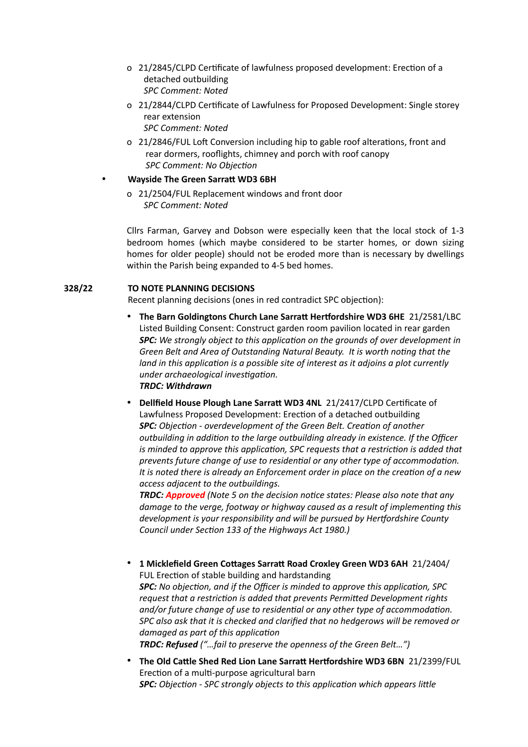- o 21/2845/CLPD Certificate of lawfulness proposed development: Erection of a detached outbuilding *SPC Comment: Noted*
- o 21/2844/CLPD Certificate of Lawfulness for Proposed Development: Single storey rear extension *SPC Comment: Noted*
- o 21/2846/FUL Loft Conversion including hip to gable roof alterations, front and rear dormers, rooflights, chimney and porch with roof canopy *SPC Comment: No Objection*

# • **Wayside The Green Sarratt WD3 6BH**

o 21/2504/FUL Replacement windows and front door *SPC Comment: Noted*

Cllrs Farman, Garvey and Dobson were especially keen that the local stock of 1-3 bedroom homes (which maybe considered to be starter homes, or down sizing homes for older people) should not be eroded more than is necessary by dwellings within the Parish being expanded to 4-5 bed homes.

# **328/22 TO NOTE PLANNING DECISIONS**

Recent planning decisions (ones in red contradict SPC objection):

- **The Barn Goldingtons Church Lane Sarratt Hertfordshire WD3 6HE** 21/2581/LBC Listed Building Consent: Construct garden room pavilion located in rear garden *SPC: We strongly object to this application on the grounds of over development in Green Belt and Area of Outstanding Natural Beauty. It is worth noting that the land in this application is a possible site of interest as it adjoins a plot currently under archaeological investigation. TRDC: Withdrawn*
- **Dellfield House Plough Lane Sarratt WD3 4NL** 21/2417/CLPD Certificate of Lawfulness Proposed Development: Erection of a detached outbuilding *SPC: Objection - overdevelopment of the Green Belt. Creation of another outbuilding in addition to the large outbuilding already in existence. If the Officer is minded to approve this application, SPC requests that a restriction is added that prevents future change of use to residential or any other type of accommodation. It is noted there is already an Enforcement order in place on the creation of a new access adjacent to the outbuildings.*

*TRDC: Approved (Note 5 on the decision notice states: Please also note that any damage to the verge, footway or highway caused as a result of implementing this development is your responsibility and will be pursued by Hertfordshire County Council under Section 133 of the Highways Act 1980.)*

- **1 Micklefield Green Cottages Sarratt Road Croxley Green WD3 6AH** 21/2404/ FUL Erection of stable building and hardstanding *SPC: No objection, and if the Officer is minded to approve this application, SPC request that a restriction is added that prevents Permitted Development rights and/or future change of use to residential or any other type of accommodation. SPC also ask that it is checked and clarified that no hedgerows will be removed or damaged as part of this application TRDC: Refused ("…fail to preserve the openness of the Green Belt…")*
- **The Old Cattle Shed Red Lion Lane Sarratt Hertfordshire WD3 6BN** 21/2399/FUL Erection of a multi-purpose agricultural barn *SPC: Objection - SPC strongly objects to this application which appears little*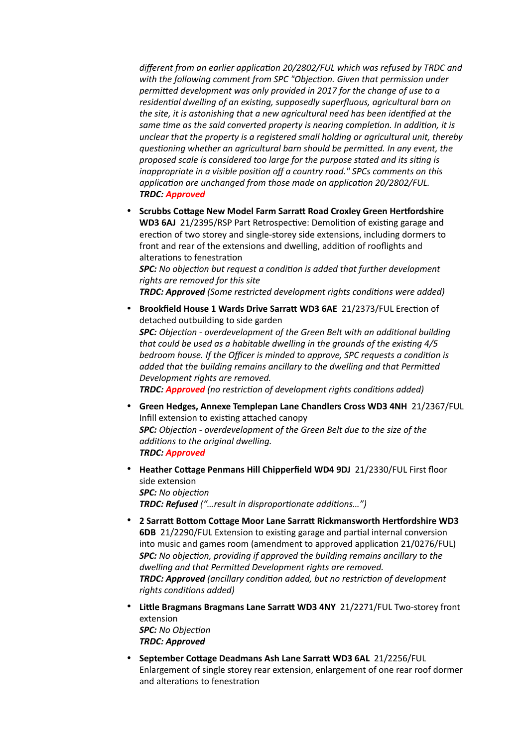*different from an earlier application 20/2802/FUL which was refused by TRDC and with the following comment from SPC "Objection. Given that permission under permitted development was only provided in 2017 for the change of use to a residential dwelling of an existing, supposedly superfluous, agricultural barn on the site, it is astonishing that a new agricultural need has been identified at the same time as the said converted property is nearing completion. In addition, it is unclear that the property is a registered small holding or agricultural unit, thereby questioning whether an agricultural barn should be permitted. In any event, the proposed scale is considered too large for the purpose stated and its siting is inappropriate in a visible position off a country road." SPCs comments on this application are unchanged from those made on application 20/2802/FUL. TRDC: Approved*

• **Scrubbs Cottage New Model Farm Sarratt Road Croxley Green Hertfordshire WD3 6AJ** 21/2395/RSP Part Retrospective: Demolition of existing garage and erection of two storey and single-storey side extensions, including dormers to front and rear of the extensions and dwelling, addition of rooflights and alterations to fenestration

*SPC: No objection but request a condition is added that further development rights are removed for this site*

*TRDC: Approved (Some restricted development rights conditions were added)* 

- **Brookfield House 1 Wards Drive Sarratt WD3 6AE** 21/2373/FUL Erection of detached outbuilding to side garden *SPC: Objection - overdevelopment of the Green Belt with an additional building that could be used as a habitable dwelling in the grounds of the existing 4/5 bedroom house. If the Officer is minded to approve, SPC requests a condition is added that the building remains ancillary to the dwelling and that Permitted Development rights are removed. TRDC: Approved (no restriction of development rights conditions added)*
- **Green Hedges, Annexe Templepan Lane Chandlers Cross WD3 4NH** 21/2367/FUL Infill extension to existing attached canopy *SPC: Objection - overdevelopment of the Green Belt due to the size of the additions to the original dwelling. TRDC: Approved*
- **Heather Cottage Penmans Hill Chipperfield WD4 9DJ** 21/2330/FUL First floor side extension *SPC: No objection TRDC: Refused ("…result in disproportionate additions…")*
- **2 Sarratt Bottom Cottage Moor Lane Sarratt Rickmansworth Hertfordshire WD3 6DB** 21/2290/FUL Extension to existing garage and partial internal conversion into music and games room (amendment to approved application 21/0276/FUL) *SPC: No objection, providing if approved the building remains ancillary to the dwelling and that Permitted Development rights are removed. TRDC: Approved (ancillary condition added, but no restriction of development rights conditions added)*
- **Little Bragmans Bragmans Lane Sarratt WD3 4NY** 21/2271/FUL Two-storey front extension *SPC: No Objection TRDC: Approved*
- **September Cottage Deadmans Ash Lane Sarratt WD3 6AL** 21/2256/FUL Enlargement of single storey rear extension, enlargement of one rear roof dormer and alterations to fenestration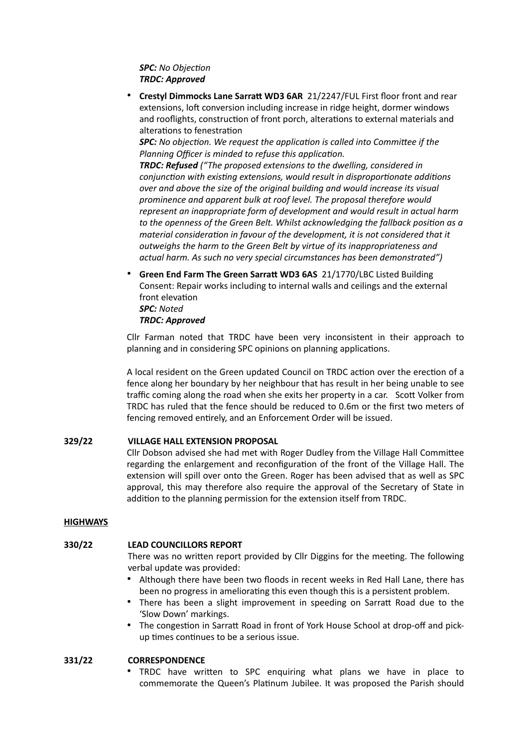# *SPC: No Objection TRDC: Approved*

• **Crestyl Dimmocks Lane Sarratt WD3 6AR** 21/2247/FUL First floor front and rear extensions, loft conversion including increase in ridge height, dormer windows and rooflights, construction of front porch, alterations to external materials and alterations to fenestration

*SPC: No objection. We request the application is called into Committee if the Planning Officer is minded to refuse this application.*

*TRDC: Refused ("The proposed extensions to the dwelling, considered in conjunction with existing extensions, would result in disproportionate additions over and above the size of the original building and would increase its visual prominence and apparent bulk at roof level. The proposal therefore would represent an inappropriate form of development and would result in actual harm to the openness of the Green Belt. Whilst acknowledging the fallback position as a material consideration in favour of the development, it is not considered that it outweighs the harm to the Green Belt by virtue of its inappropriateness and actual harm. As such no very special circumstances has been demonstrated")*

• **Green End Farm The Green Sarratt WD3 6AS** 21/1770/LBC Listed Building Consent: Repair works including to internal walls and ceilings and the external front elevation *SPC: Noted*

### *TRDC: Approved*

Cllr Farman noted that TRDC have been very inconsistent in their approach to planning and in considering SPC opinions on planning applications.

A local resident on the Green updated Council on TRDC action over the erection of a fence along her boundary by her neighbour that has result in her being unable to see traffic coming along the road when she exits her property in a car. Scott Volker from TRDC has ruled that the fence should be reduced to 0.6m or the first two meters of fencing removed entirely, and an Enforcement Order will be issued.

## **329/22 VILLAGE HALL EXTENSION PROPOSAL**

Cllr Dobson advised she had met with Roger Dudley from the Village Hall Committee regarding the enlargement and reconfiguration of the front of the Village Hall. The extension will spill over onto the Green. Roger has been advised that as well as SPC approval, this may therefore also require the approval of the Secretary of State in addition to the planning permission for the extension itself from TRDC.

## **HIGHWAYS**

## **330/22 LEAD COUNCILLORS REPORT**

There was no written report provided by Cllr Diggins for the meeting. The following verbal update was provided:

- Although there have been two floods in recent weeks in Red Hall Lane, there has been no progress in ameliorating this even though this is a persistent problem.
- There has been a slight improvement in speeding on Sarratt Road due to the 'Slow Down' markings.
- The congestion in Sarratt Road in front of York House School at drop-off and pickup times continues to be a serious issue.

## **331/22 CORRESPONDENCE**

• TRDC have written to SPC enquiring what plans we have in place to commemorate the Queen's Platinum Jubilee. It was proposed the Parish should